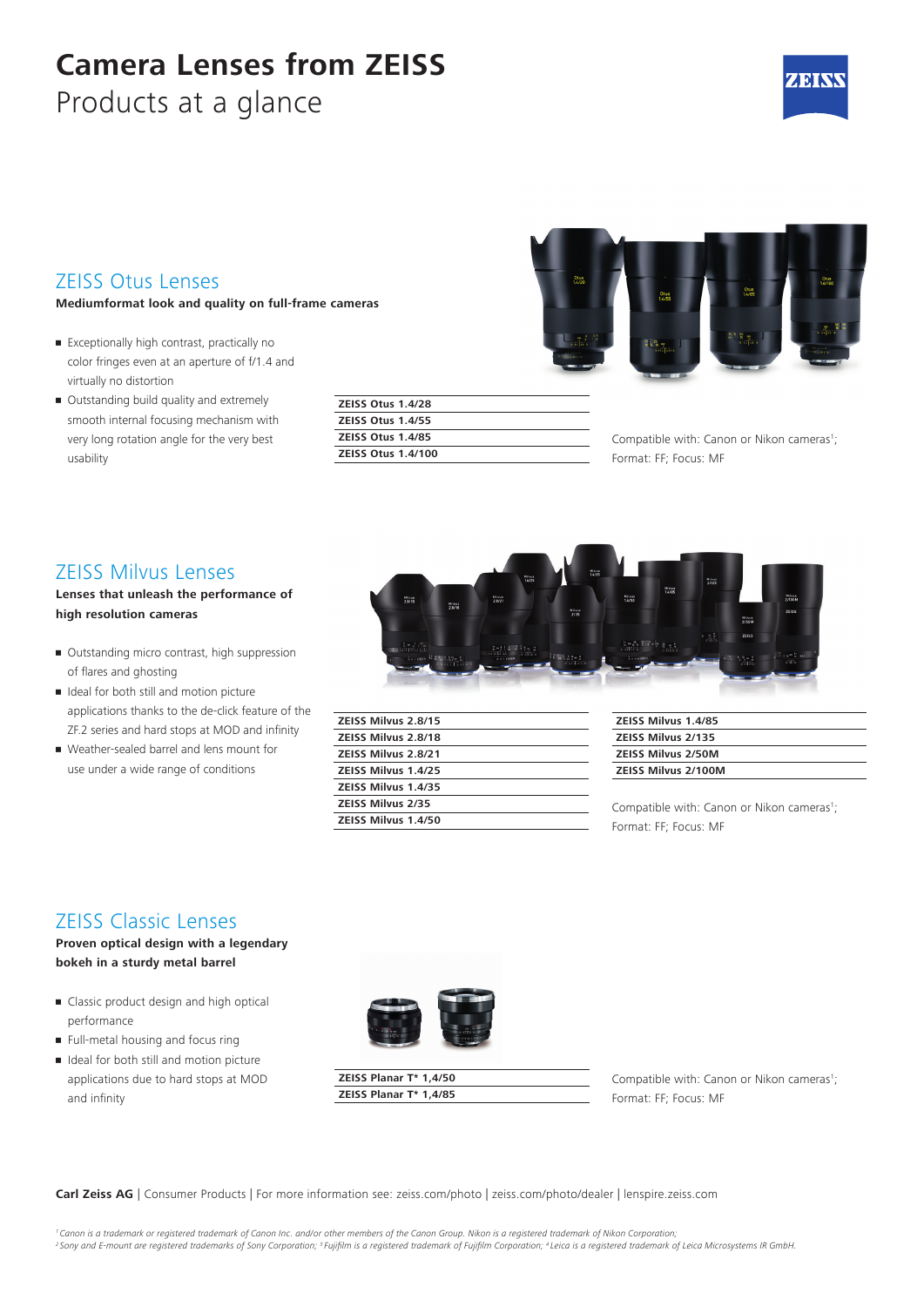# **Camera Lenses from ZEISS**

Products at a glance



#### ZEISS Otus Lenses

#### **Mediumformat look and quality on full-frame cameras**

- Exceptionally high contrast, practically no color fringes even at an aperture of f/1.4 and virtually no distortion
- Outstanding build quality and extremely smooth internal focusing mechanism with very long rotation angle for the very best usability

| <b>ZEISS Otus 1.4/28</b>  |  |
|---------------------------|--|
| <b>ZEISS Otus 1.4/55</b>  |  |
| <b>ZEISS Otus 1.4/85</b>  |  |
| <b>ZEISS Otus 1.4/100</b> |  |

Compatible with: Canon or Nikon cameras<sup>1</sup>; Format: FF; Focus: MF

#### ZEISS Milvus Lenses

#### **Lenses that unleash the performance of high resolution cameras**

- Outstanding micro contrast, high suppression of flares and ghosting
- Ideal for both still and motion picture applications thanks to the de-click feature of the ZF.2 series and hard stops at MOD and infinity
- Weather-sealed barrel and lens mount for use under a wide range of conditions



| ZEISS Milvus 2.8/15        |
|----------------------------|
| <b>ZEISS Milvus 2.8/18</b> |
| <b>ZEISS Milvus 2.8/21</b> |
| <b>ZEISS Milvus 1.4/25</b> |
| ZEISS Milvus 1.4/35        |
| <b>ZEISS Milvus 2/35</b>   |
| <b>ZEISS Milvus 1.4/50</b> |
|                            |

| <b>ZEISS Milvus 1.4/85</b> |  |
|----------------------------|--|
| <b>ZEISS Milvus 2/135</b>  |  |
| <b>ZEISS Milvus 2/50M</b>  |  |
| <b>ZEISS Milvus 2/100M</b> |  |

Compatible with: Canon or Nikon cameras<sup>1</sup>; Format: FF; Focus: MF

## ZEISS Classic Lenses

**Proven optical design with a legendary bokeh in a sturdy metal barrel**

- Classic product design and high optical performance
- Full-metal housing and focus ring
- Ideal for both still and motion picture applications due to hard stops at MOD and infinity



**ZEISS Planar T\* 1,4/50 ZEISS Planar T\* 1,4/85**

Compatible with: Canon or Nikon cameras<sup>1</sup>; Format: FF; Focus: MF

**Carl Zeiss AG** | Consumer Products | For more information see: zeiss.com/photo | zeiss.com/photo/dealer | lenspire.zeiss.com